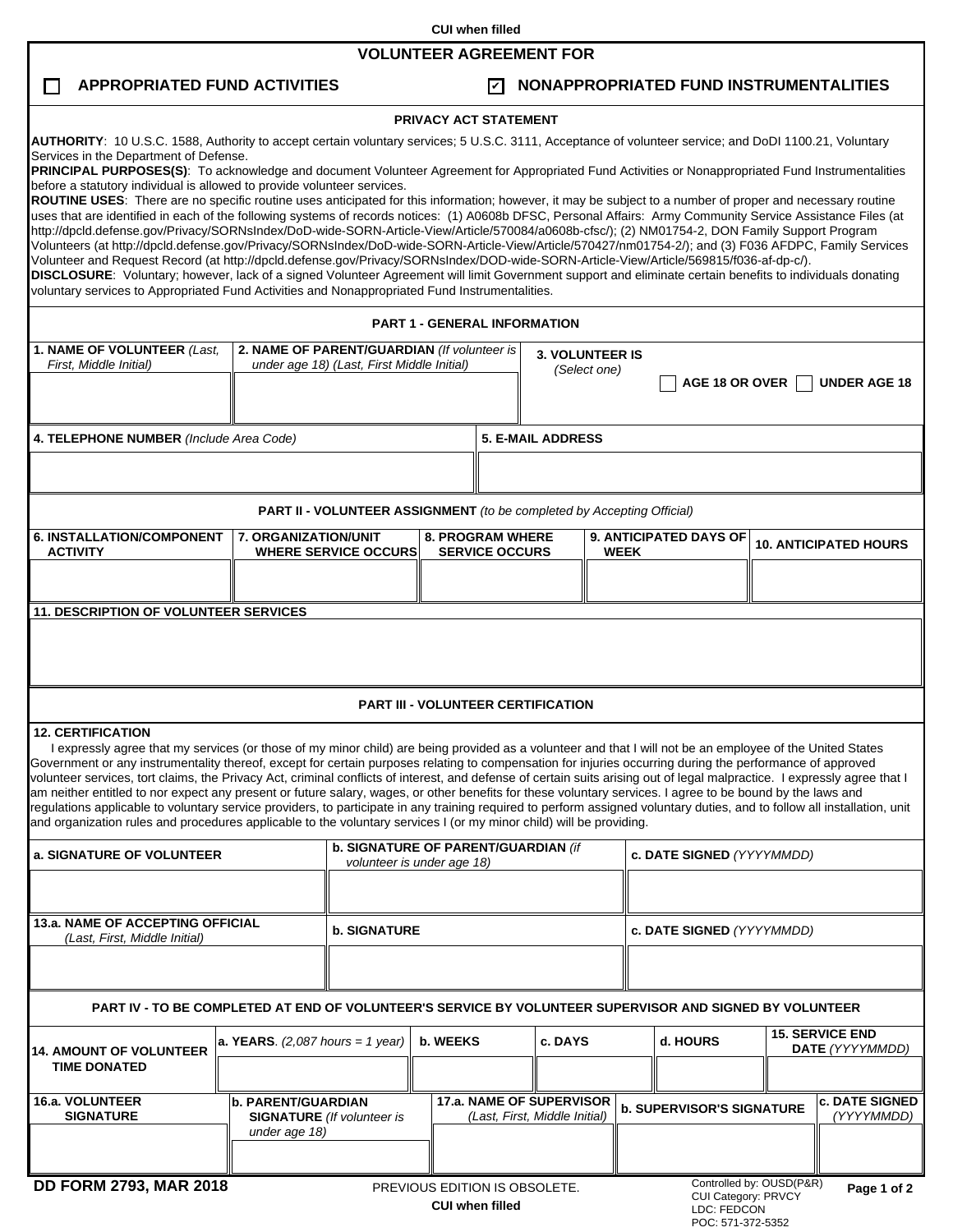**CUI when filled**

## **VOLUNTEER AGREEMENT FOR**

 $\Box$ 

## **APPROPRIATED FUND ACTIVITIES NONAPPROPRIATED FUND INSTRUMENTALITIES** ✔

LDC: FEDCON POC: 571-372-5352

# **PRIVACY ACT STATEMENT**

|                                                                                                                                                                                                                                                                                                                                                                                                                                                                                                                                                                                                                                                                                                                                                                                                                                                                                                                                                                                                                                                                                                                          |                                                                                           |                                                                                 | <b>FRIVAUT AUT STATEMENT</b>                              |                                                  |                                           |                           |                                                                                      |                                           |  |  |
|--------------------------------------------------------------------------------------------------------------------------------------------------------------------------------------------------------------------------------------------------------------------------------------------------------------------------------------------------------------------------------------------------------------------------------------------------------------------------------------------------------------------------------------------------------------------------------------------------------------------------------------------------------------------------------------------------------------------------------------------------------------------------------------------------------------------------------------------------------------------------------------------------------------------------------------------------------------------------------------------------------------------------------------------------------------------------------------------------------------------------|-------------------------------------------------------------------------------------------|---------------------------------------------------------------------------------|-----------------------------------------------------------|--------------------------------------------------|-------------------------------------------|---------------------------|--------------------------------------------------------------------------------------|-------------------------------------------|--|--|
| AUTHORITY: 10 U.S.C. 1588, Authority to accept certain voluntary services; 5 U.S.C. 3111, Acceptance of volunteer service; and DoDI 1100.21, Voluntary<br>Services in the Department of Defense.<br>PRINCIPAL PURPOSES(S): To acknowledge and document Volunteer Agreement for Appropriated Fund Activities or Nonappropriated Fund Instrumentalities                                                                                                                                                                                                                                                                                                                                                                                                                                                                                                                                                                                                                                                                                                                                                                    |                                                                                           |                                                                                 |                                                           |                                                  |                                           |                           |                                                                                      |                                           |  |  |
| before a statutory individual is allowed to provide volunteer services.<br>ROUTINE USES: There are no specific routine uses anticipated for this information; however, it may be subject to a number of proper and necessary routine<br>uses that are identified in each of the following systems of records notices: (1) A0608b DFSC, Personal Affairs: Army Community Service Assistance Files (at<br>http://dpcld.defense.gov/Privacy/SORNsIndex/DoD-wide-SORN-Article-View/Article/570084/a0608b-cfsc/); (2) NM01754-2, DON Family Support Program<br>Volunteers (at http://dpcld.defense.gov/Privacy/SORNsIndex/DoD-wide-SORN-Article-View/Article/570427/nm01754-2/); and (3) F036 AFDPC, Family Services<br>Volunteer and Request Record (at http://dpcld.defense.gov/Privacy/SORNsIndex/DOD-wide-SORN-Article-View/Article/569815/f036-af-dp-c/).<br>DISCLOSURE: Voluntary; however, lack of a signed Volunteer Agreement will limit Government support and eliminate certain benefits to individuals donating<br>voluntary services to Appropriated Fund Activities and Nonappropriated Fund Instrumentalities. |                                                                                           |                                                                                 |                                                           |                                                  |                                           |                           |                                                                                      |                                           |  |  |
|                                                                                                                                                                                                                                                                                                                                                                                                                                                                                                                                                                                                                                                                                                                                                                                                                                                                                                                                                                                                                                                                                                                          |                                                                                           |                                                                                 | <b>PART 1 - GENERAL INFORMATION</b>                       |                                                  |                                           |                           |                                                                                      |                                           |  |  |
| 1. NAME OF VOLUNTEER (Last,<br>First, Middle Initial)                                                                                                                                                                                                                                                                                                                                                                                                                                                                                                                                                                                                                                                                                                                                                                                                                                                                                                                                                                                                                                                                    | 2. NAME OF PARENT/GUARDIAN (If volunteer is<br>under age 18) (Last, First Middle Initial) | <b>3. VOLUNTEER IS</b><br>(Select one)<br>AGE 18 OR OVER<br><b>UNDER AGE 18</b> |                                                           |                                                  |                                           |                           |                                                                                      |                                           |  |  |
| 4. TELEPHONE NUMBER (Include Area Code)                                                                                                                                                                                                                                                                                                                                                                                                                                                                                                                                                                                                                                                                                                                                                                                                                                                                                                                                                                                                                                                                                  |                                                                                           |                                                                                 |                                                           | <b>5. E-MAIL ADDRESS</b>                         |                                           |                           |                                                                                      |                                           |  |  |
|                                                                                                                                                                                                                                                                                                                                                                                                                                                                                                                                                                                                                                                                                                                                                                                                                                                                                                                                                                                                                                                                                                                          |                                                                                           |                                                                                 |                                                           |                                                  |                                           |                           |                                                                                      |                                           |  |  |
|                                                                                                                                                                                                                                                                                                                                                                                                                                                                                                                                                                                                                                                                                                                                                                                                                                                                                                                                                                                                                                                                                                                          |                                                                                           | <b>PART II - VOLUNTEER ASSIGNMENT</b> (to be completed by Accepting Official)   |                                                           |                                                  |                                           |                           |                                                                                      |                                           |  |  |
| <b>6. INSTALLATION/COMPONENT</b><br><b>ACTIVITY</b>                                                                                                                                                                                                                                                                                                                                                                                                                                                                                                                                                                                                                                                                                                                                                                                                                                                                                                                                                                                                                                                                      |                                                                                           | 7. ORGANIZATION/UNIT<br><b>WHERE SERVICE OCCURS</b>                             |                                                           | <b>8. PROGRAM WHERE</b><br><b>SERVICE OCCURS</b> |                                           | <b>WEEK</b>               | 9. ANTICIPATED DAYS OF                                                               | <b>10. ANTICIPATED HOURS</b>              |  |  |
|                                                                                                                                                                                                                                                                                                                                                                                                                                                                                                                                                                                                                                                                                                                                                                                                                                                                                                                                                                                                                                                                                                                          |                                                                                           |                                                                                 |                                                           |                                                  |                                           |                           |                                                                                      |                                           |  |  |
| 11. DESCRIPTION OF VOLUNTEER SERVICES                                                                                                                                                                                                                                                                                                                                                                                                                                                                                                                                                                                                                                                                                                                                                                                                                                                                                                                                                                                                                                                                                    |                                                                                           |                                                                                 |                                                           |                                                  |                                           |                           |                                                                                      |                                           |  |  |
|                                                                                                                                                                                                                                                                                                                                                                                                                                                                                                                                                                                                                                                                                                                                                                                                                                                                                                                                                                                                                                                                                                                          |                                                                                           |                                                                                 |                                                           |                                                  |                                           |                           |                                                                                      |                                           |  |  |
|                                                                                                                                                                                                                                                                                                                                                                                                                                                                                                                                                                                                                                                                                                                                                                                                                                                                                                                                                                                                                                                                                                                          |                                                                                           |                                                                                 |                                                           |                                                  | <b>PART III - VOLUNTEER CERTIFICATION</b> |                           |                                                                                      |                                           |  |  |
| <b>12. CERTIFICATION</b><br>I expressly agree that my services (or those of my minor child) are being provided as a volunteer and that I will not be an employee of the United States<br>Government or any instrumentality thereof, except for certain purposes relating to compensation for injuries occurring during the performance of approved<br>volunteer services, tort claims, the Privacy Act, criminal conflicts of interest, and defense of certain suits arising out of legal malpractice. I expressly agree that I<br>am neither entitled to nor expect any present or future salary, wages, or other benefits for these voluntary services. I agree to be bound by the laws and<br>regulations applicable to voluntary service providers, to participate in any training required to perform assigned voluntary duties, and to follow all installation, unit<br>and organization rules and procedures applicable to the voluntary services I (or my minor child) will be providing.                                                                                                                        |                                                                                           |                                                                                 |                                                           |                                                  |                                           |                           |                                                                                      |                                           |  |  |
| a. SIGNATURE OF VOLUNTEER                                                                                                                                                                                                                                                                                                                                                                                                                                                                                                                                                                                                                                                                                                                                                                                                                                                                                                                                                                                                                                                                                                |                                                                                           | b. SIGNATURE OF PARENT/GUARDIAN (if<br>volunteer is under age 18)               |                                                           |                                                  |                                           |                           | c. DATE SIGNED (YYYYMMDD)                                                            |                                           |  |  |
|                                                                                                                                                                                                                                                                                                                                                                                                                                                                                                                                                                                                                                                                                                                                                                                                                                                                                                                                                                                                                                                                                                                          |                                                                                           |                                                                                 |                                                           |                                                  |                                           |                           |                                                                                      |                                           |  |  |
| <b>13.a. NAME OF ACCEPTING OFFICIAL</b><br>(Last, First, Middle Initial)                                                                                                                                                                                                                                                                                                                                                                                                                                                                                                                                                                                                                                                                                                                                                                                                                                                                                                                                                                                                                                                 |                                                                                           | <b>b. SIGNATURE</b>                                                             |                                                           |                                                  |                                           | c. DATE SIGNED (YYYYMMDD) |                                                                                      |                                           |  |  |
| PART IV - TO BE COMPLETED AT END OF VOLUNTEER'S SERVICE BY VOLUNTEER SUPERVISOR AND SIGNED BY VOLUNTEER                                                                                                                                                                                                                                                                                                                                                                                                                                                                                                                                                                                                                                                                                                                                                                                                                                                                                                                                                                                                                  |                                                                                           |                                                                                 |                                                           |                                                  |                                           |                           |                                                                                      |                                           |  |  |
| <b>14. AMOUNT OF VOLUNTEER</b><br><b>TIME DONATED</b>                                                                                                                                                                                                                                                                                                                                                                                                                                                                                                                                                                                                                                                                                                                                                                                                                                                                                                                                                                                                                                                                    | a. YEARS. $(2,087$ hours = 1 year)                                                        |                                                                                 | b. WEEKS                                                  |                                                  | c. DAYS                                   |                           | d. HOURS                                                                             | <b>15. SERVICE END</b><br>DATE (YYYYMMDD) |  |  |
| 16.a. VOLUNTEER<br><b>SIGNATURE</b>                                                                                                                                                                                                                                                                                                                                                                                                                                                                                                                                                                                                                                                                                                                                                                                                                                                                                                                                                                                                                                                                                      | <b>b. PARENT/GUARDIAN</b><br><b>SIGNATURE</b> (If volunteer is<br>under age 18)           |                                                                                 | 17.a. NAME OF SUPERVISOR<br>(Last, First, Middle Initial) |                                                  |                                           |                           | <b>c. DATE SIGNED</b><br><b>b. SUPERVISOR'S SIGNATURE</b><br>(YYYYMMDD)              |                                           |  |  |
| <b>DD FORM 2793, MAR 2018</b><br>PREVIOUS EDITION IS OBSOLETE.<br><b>CUI when filled</b>                                                                                                                                                                                                                                                                                                                                                                                                                                                                                                                                                                                                                                                                                                                                                                                                                                                                                                                                                                                                                                 |                                                                                           |                                                                                 |                                                           |                                                  |                                           |                           | Controlled by: OUSD(P&R)<br>Page 1 of 2<br>CUI Category: PRVCY<br><b>LDC: EEDCON</b> |                                           |  |  |